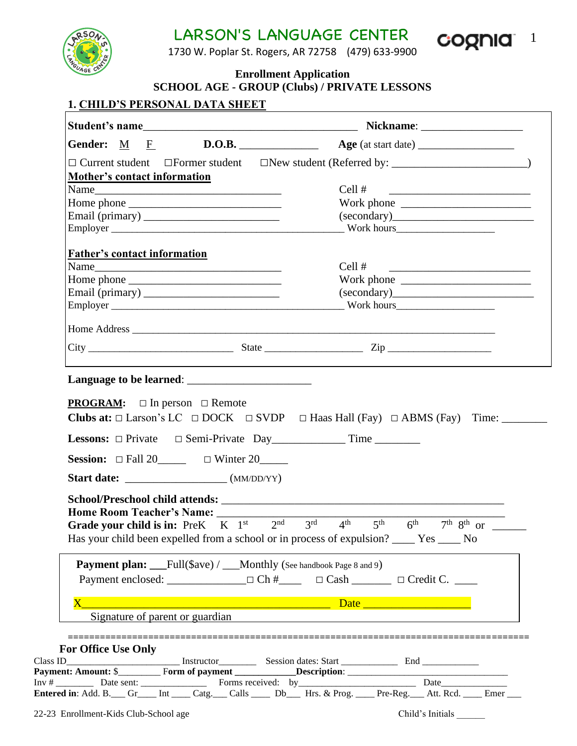LARSON'S LANGUAGE CENTER COONIC 1



1730 W. Poplar St. Rogers, AR 72758 (479) 633-9900

**Enrollment Application**

# **SCHOOL AGE - GROUP (Clubs) / PRIVATE LESSONS**

## **1. CHILD'S PERSONAL DATA SHEET**

| <b>Mother's contact information</b><br>Cell#<br><b>Father's contact information</b><br>Cell #<br>$\text{City}$ $\frac{\text{City}}{\text{arg} \cdot \text{diag} \cdot \text{diag} \cdot \text{diag} \cdot \text{diag} \cdot \text{diag} \cdot \text{diag} \cdot \text{diag} \cdot \text{diag} \cdot \text{diag} \cdot \text{diag} \cdot \text{diag} \cdot \text{diag} \cdot \text{diag} \cdot \text{diag} \cdot \text{diag} \cdot \text{diag} \cdot \text{diag} \cdot \text{diag} \cdot \text{diag} \cdot \text{diag} \cdot \text{diag} \cdot \text{diag} \cdot \text{diag} \cdot \text{diag} \cdot \text{diag} \cdot \text{diag} \cdot \text{diag} \cdot \text{diag} \cdot \text$<br><b>PROGRAM:</b> $\Box$ In person $\Box$ Remote<br><b>Session:</b> $\Box$ Fall 20______ $\Box$ Winter 20_____<br>Grade your child is in: PreK $K = 1^{st}$ $\overline{2^{nd}} = 3^{rd}$ $4^{th}$ $5^{th}$<br>Has your child been expelled from a school or in process of expulsion? _____ Yes _____ No<br><b>Payment plan:</b> Full(\$ave) / __Monthly (See handbook Page 8 and 9) | <u> 1980 - Johann Stein, mars andreis andreis (b. 1980)</u><br>Work phone $\frac{1}{\sqrt{1-\frac{1}{2}}}\left  \frac{1}{\sqrt{1-\frac{1}{2}}}\right $ |
|-------------------------------------------------------------------------------------------------------------------------------------------------------------------------------------------------------------------------------------------------------------------------------------------------------------------------------------------------------------------------------------------------------------------------------------------------------------------------------------------------------------------------------------------------------------------------------------------------------------------------------------------------------------------------------------------------------------------------------------------------------------------------------------------------------------------------------------------------------------------------------------------------------------------------------------------------------------------------------------------------------------------------------------------------------------------------|--------------------------------------------------------------------------------------------------------------------------------------------------------|
|                                                                                                                                                                                                                                                                                                                                                                                                                                                                                                                                                                                                                                                                                                                                                                                                                                                                                                                                                                                                                                                                         |                                                                                                                                                        |
|                                                                                                                                                                                                                                                                                                                                                                                                                                                                                                                                                                                                                                                                                                                                                                                                                                                                                                                                                                                                                                                                         |                                                                                                                                                        |
|                                                                                                                                                                                                                                                                                                                                                                                                                                                                                                                                                                                                                                                                                                                                                                                                                                                                                                                                                                                                                                                                         |                                                                                                                                                        |
|                                                                                                                                                                                                                                                                                                                                                                                                                                                                                                                                                                                                                                                                                                                                                                                                                                                                                                                                                                                                                                                                         |                                                                                                                                                        |
|                                                                                                                                                                                                                                                                                                                                                                                                                                                                                                                                                                                                                                                                                                                                                                                                                                                                                                                                                                                                                                                                         |                                                                                                                                                        |
|                                                                                                                                                                                                                                                                                                                                                                                                                                                                                                                                                                                                                                                                                                                                                                                                                                                                                                                                                                                                                                                                         |                                                                                                                                                        |
|                                                                                                                                                                                                                                                                                                                                                                                                                                                                                                                                                                                                                                                                                                                                                                                                                                                                                                                                                                                                                                                                         |                                                                                                                                                        |
|                                                                                                                                                                                                                                                                                                                                                                                                                                                                                                                                                                                                                                                                                                                                                                                                                                                                                                                                                                                                                                                                         |                                                                                                                                                        |
|                                                                                                                                                                                                                                                                                                                                                                                                                                                                                                                                                                                                                                                                                                                                                                                                                                                                                                                                                                                                                                                                         |                                                                                                                                                        |
|                                                                                                                                                                                                                                                                                                                                                                                                                                                                                                                                                                                                                                                                                                                                                                                                                                                                                                                                                                                                                                                                         |                                                                                                                                                        |
|                                                                                                                                                                                                                                                                                                                                                                                                                                                                                                                                                                                                                                                                                                                                                                                                                                                                                                                                                                                                                                                                         |                                                                                                                                                        |
|                                                                                                                                                                                                                                                                                                                                                                                                                                                                                                                                                                                                                                                                                                                                                                                                                                                                                                                                                                                                                                                                         |                                                                                                                                                        |
|                                                                                                                                                                                                                                                                                                                                                                                                                                                                                                                                                                                                                                                                                                                                                                                                                                                                                                                                                                                                                                                                         |                                                                                                                                                        |
|                                                                                                                                                                                                                                                                                                                                                                                                                                                                                                                                                                                                                                                                                                                                                                                                                                                                                                                                                                                                                                                                         |                                                                                                                                                        |
|                                                                                                                                                                                                                                                                                                                                                                                                                                                                                                                                                                                                                                                                                                                                                                                                                                                                                                                                                                                                                                                                         |                                                                                                                                                        |
|                                                                                                                                                                                                                                                                                                                                                                                                                                                                                                                                                                                                                                                                                                                                                                                                                                                                                                                                                                                                                                                                         |                                                                                                                                                        |
|                                                                                                                                                                                                                                                                                                                                                                                                                                                                                                                                                                                                                                                                                                                                                                                                                                                                                                                                                                                                                                                                         |                                                                                                                                                        |
|                                                                                                                                                                                                                                                                                                                                                                                                                                                                                                                                                                                                                                                                                                                                                                                                                                                                                                                                                                                                                                                                         |                                                                                                                                                        |
|                                                                                                                                                                                                                                                                                                                                                                                                                                                                                                                                                                                                                                                                                                                                                                                                                                                                                                                                                                                                                                                                         |                                                                                                                                                        |
|                                                                                                                                                                                                                                                                                                                                                                                                                                                                                                                                                                                                                                                                                                                                                                                                                                                                                                                                                                                                                                                                         |                                                                                                                                                        |
| Signature of parent or guardian                                                                                                                                                                                                                                                                                                                                                                                                                                                                                                                                                                                                                                                                                                                                                                                                                                                                                                                                                                                                                                         |                                                                                                                                                        |
| <b>For Office Use Only</b>                                                                                                                                                                                                                                                                                                                                                                                                                                                                                                                                                                                                                                                                                                                                                                                                                                                                                                                                                                                                                                              |                                                                                                                                                        |
| Class ID<br><b>Payment: Amount:</b> \$ Form of payment<br>Forms received: by<br><b>Entered in:</b> Add. B. Gr_ Int __ Catg. Calls __ Db_ Hrs. & Prog. __ Pre-Reg. Att. Rcd. __ Emer __                                                                                                                                                                                                                                                                                                                                                                                                                                                                                                                                                                                                                                                                                                                                                                                                                                                                                  |                                                                                                                                                        |
|                                                                                                                                                                                                                                                                                                                                                                                                                                                                                                                                                                                                                                                                                                                                                                                                                                                                                                                                                                                                                                                                         |                                                                                                                                                        |
|                                                                                                                                                                                                                                                                                                                                                                                                                                                                                                                                                                                                                                                                                                                                                                                                                                                                                                                                                                                                                                                                         |                                                                                                                                                        |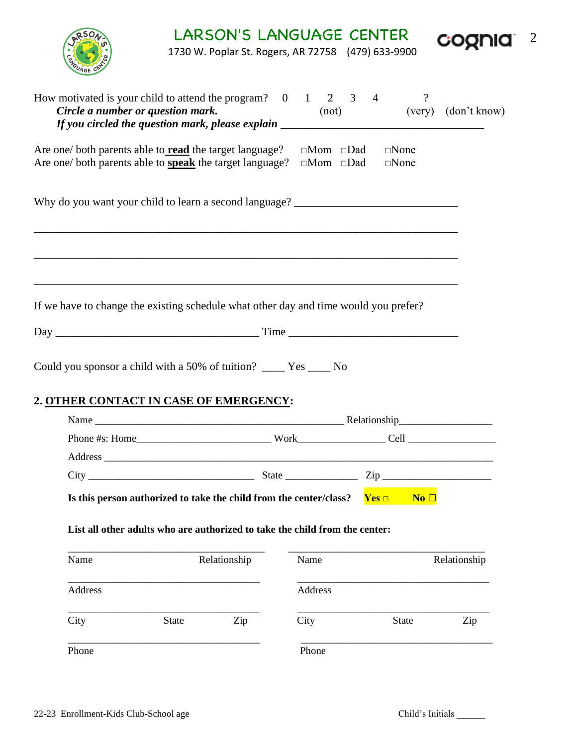| RSON- | LARSON'S LANGUAGE CENTER                         | cognia |  |
|-------|--------------------------------------------------|--------|--|
|       | 1730 W Poplar St Rogers, AR 72758 (479) 633-9900 |        |  |



1730 W. Poplar St. Rogers, AR 72758 (479) 633-9900

| How motivated is your child to attend the program? $0 \t 1 \t 2 \t 3$<br>Circle a number or question mark.<br>If you circled the question mark, please explain _______________________________ |              |              |         | (not)                                                      | $\overline{4}$ | $\gamma$                         | (very) (don't know) |
|------------------------------------------------------------------------------------------------------------------------------------------------------------------------------------------------|--------------|--------------|---------|------------------------------------------------------------|----------------|----------------------------------|---------------------|
| Are one/ both parents able to <b>read</b> the target language?<br>Are one/ both parents able to <b>speak</b> the target language?                                                              |              |              |         | $\square$ Mom $\square$ Dad<br>$\square$ Mom $\square$ Dad |                | $\square$ None<br>$\square$ None |                     |
| Why do you want your child to learn a second language? __________________________                                                                                                              |              |              |         |                                                            |                |                                  |                     |
| If we have to change the existing schedule what other day and time would you prefer?                                                                                                           |              |              |         |                                                            |                |                                  |                     |
|                                                                                                                                                                                                |              |              |         |                                                            |                |                                  |                     |
|                                                                                                                                                                                                |              |              |         |                                                            |                |                                  |                     |
| 2. OTHER CONTACT IN CASE OF EMERGENCY:                                                                                                                                                         |              |              |         |                                                            |                |                                  |                     |
|                                                                                                                                                                                                |              |              |         |                                                            |                |                                  |                     |
|                                                                                                                                                                                                |              |              |         |                                                            |                |                                  |                     |
| $City$ $Zip$                                                                                                                                                                                   |              |              |         |                                                            |                |                                  |                     |
| Is this person authorized to take the child from the center/class?<br>List all other adults who are authorized to take the child from the center:                                              |              |              |         |                                                            |                | $Yes \Box$ No $\Box$             |                     |
| Name                                                                                                                                                                                           |              | Relationship | Name    |                                                            |                |                                  | Relationship        |
| Address                                                                                                                                                                                        |              |              | Address |                                                            |                |                                  |                     |
| City                                                                                                                                                                                           | <b>State</b> | Zip          | City    |                                                            |                | <b>State</b>                     | Zip                 |
| Phone                                                                                                                                                                                          |              |              | Phone   |                                                            |                |                                  |                     |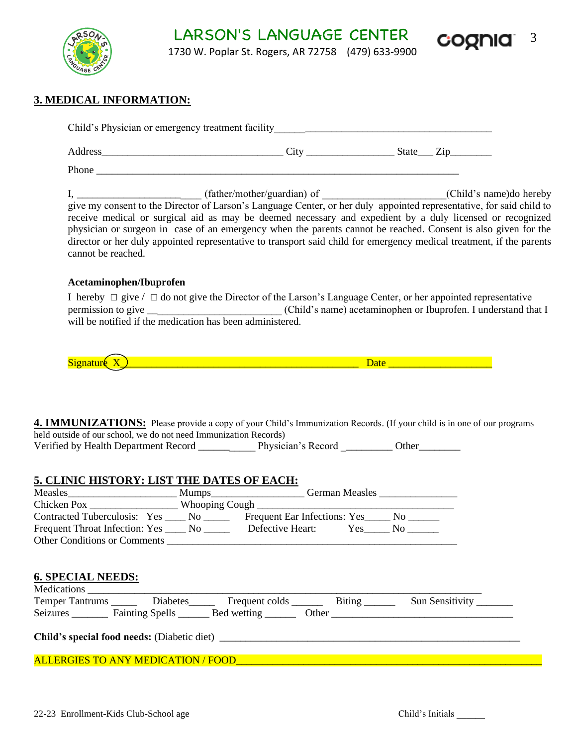LARSON'S LANGUAGE CENTER<br>1720 Website Boom AR2250 (470) 620 0000 COQUIQ 3



1730 W. Poplar St. Rogers, AR 72758 (479) 633-9900

## **3. MEDICAL INFORMATION:**

|                                                                  | receive medical or surgical aid as may be deemed necessary and expedient by a duly licensed or recognized<br>physician or surgeon in case of an emergency when the parents cannot be reached. Consent is also given for the      |                          |
|------------------------------------------------------------------|----------------------------------------------------------------------------------------------------------------------------------------------------------------------------------------------------------------------------------|--------------------------|
|                                                                  | director or her duly appointed representative to transport said child for emergency medical treatment, if the parents                                                                                                            |                          |
| cannot be reached.                                               |                                                                                                                                                                                                                                  |                          |
| Acetaminophen/Ibuprofen                                          |                                                                                                                                                                                                                                  |                          |
|                                                                  | I hereby $\Box$ give / $\Box$ do not give the Director of the Larson's Language Center, or her appointed representative                                                                                                          |                          |
|                                                                  |                                                                                                                                                                                                                                  |                          |
| will be notified if the medication has been administered.        |                                                                                                                                                                                                                                  |                          |
|                                                                  |                                                                                                                                                                                                                                  |                          |
|                                                                  |                                                                                                                                                                                                                                  |                          |
|                                                                  |                                                                                                                                                                                                                                  |                          |
|                                                                  | Signatur $(X_1)$ and $(X_2)$ are the substitution of the substantial contract of the substantial contract of the substantial contract of the substantial contract of the substantial contract of the substantial contract of the |                          |
|                                                                  |                                                                                                                                                                                                                                  |                          |
| held outside of our school, we do not need Immunization Records) | <b>4. IMMUNIZATIONS:</b> Please provide a copy of your Child's Immunization Records. (If your child is in one of our programs                                                                                                    |                          |
|                                                                  |                                                                                                                                                                                                                                  |                          |
|                                                                  |                                                                                                                                                                                                                                  |                          |
|                                                                  |                                                                                                                                                                                                                                  |                          |
|                                                                  | Chicken Pox ___________________Whooping Cough ___________________________________                                                                                                                                                |                          |
| 5. CLINIC HISTORY: LIST THE DATES OF EACH:                       | Contracted Tuberculosis: Yes ____ No ______ Frequent Ear Infections: Yes ____ No _____                                                                                                                                           |                          |
|                                                                  | Frequent Throat Infection: Yes ______ No ___________ Defective Heart: Yes ______ No _______                                                                                                                                      |                          |
| <b>Other Conditions or Comments</b>                              |                                                                                                                                                                                                                                  |                          |
|                                                                  |                                                                                                                                                                                                                                  |                          |
|                                                                  |                                                                                                                                                                                                                                  |                          |
| <b>6. SPECIAL NEEDS:</b>                                         |                                                                                                                                                                                                                                  |                          |
|                                                                  | Temper Tantrums _______ Diabetes_______ Frequent colds ________ Biting _______                                                                                                                                                   | Sun Sensitivity ________ |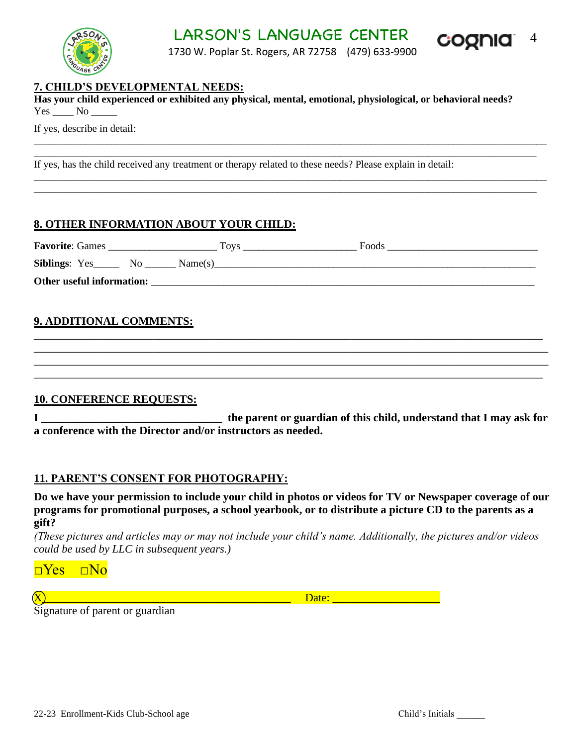LARSON'S LANGUAGE CENTER COONIC 4



1730 W. Poplar St. Rogers, AR 72758 (479) 633-9900

\_\_\_\_\_\_\_\_\_\_\_\_\_\_\_\_\_\_\_\_\_\_\_\_\_\_\_\_\_\_\_\_\_\_\_\_\_\_\_\_\_\_\_\_\_\_\_\_\_\_\_\_\_\_\_\_\_\_\_\_\_\_\_\_\_\_\_\_\_\_\_\_\_\_\_\_\_\_\_\_\_\_\_\_\_\_\_\_\_\_\_\_\_\_\_\_\_\_\_ \_\_\_\_\_\_\_\_\_\_\_\_\_\_\_\_\_\_\_\_\_\_\_\_\_\_\_\_\_\_\_\_\_\_\_\_\_\_\_\_\_\_\_\_\_\_\_\_\_\_\_\_\_\_\_\_\_\_\_\_\_\_\_\_\_\_\_\_\_\_\_\_\_\_\_\_\_\_\_\_\_\_\_\_\_\_\_\_\_\_\_\_\_\_\_\_\_

\_\_\_\_\_\_\_\_\_\_\_\_\_\_\_\_\_\_\_\_\_\_\_\_\_\_\_\_\_\_\_\_\_\_\_\_\_\_\_\_\_\_\_\_\_\_\_\_\_\_\_\_\_\_\_\_\_\_\_\_\_\_\_\_\_\_\_\_\_\_\_\_\_\_\_\_\_\_\_\_\_\_\_\_\_\_\_\_\_\_\_\_\_\_\_\_\_\_\_ \_\_\_\_\_\_\_\_\_\_\_\_\_\_\_\_\_\_\_\_\_\_\_\_\_\_\_\_\_\_\_\_\_\_\_\_\_\_\_\_\_\_\_\_\_\_\_\_\_\_\_\_\_\_\_\_\_\_\_\_\_\_\_\_\_\_\_\_\_\_\_\_\_\_\_\_\_\_\_\_\_\_\_\_\_\_\_\_\_\_\_\_\_\_\_\_\_

### **7. CHILD'S DEVELOPMENTAL NEEDS:**

**Has your child experienced or exhibited any physical, mental, emotional, physiological, or behavioral needs?** Yes No

If yes, describe in detail:

If yes, has the child received any treatment or therapy related to these needs? Please explain in detail:

## **8. OTHER INFORMATION ABOUT YOUR CHILD:**

| <b>Favorite: Games</b>    |     |         | Tovs | Foods |
|---------------------------|-----|---------|------|-------|
| Siblings: Yes             | No. | Name(s) |      |       |
| Other useful information: |     |         |      |       |

\_\_\_\_\_\_\_\_\_\_\_\_\_\_\_\_\_\_\_\_\_\_\_\_\_\_\_\_\_\_\_\_\_\_\_\_\_\_\_\_\_\_\_\_\_\_\_\_\_\_\_\_\_\_\_\_\_\_\_\_\_\_\_\_\_\_\_\_\_\_\_\_\_\_\_\_\_\_\_\_\_\_\_\_\_\_\_\_\_\_ \_\_\_\_\_\_\_\_\_\_\_\_\_\_\_\_\_\_\_\_\_\_\_\_\_\_\_\_\_\_\_\_\_\_\_\_\_\_\_\_\_\_\_\_\_\_\_\_\_\_\_\_\_\_\_\_\_\_\_\_\_\_\_\_\_\_\_\_\_\_\_\_\_\_\_\_\_\_\_\_\_\_\_\_\_\_\_\_\_\_\_ \_\_\_\_\_\_\_\_\_\_\_\_\_\_\_\_\_\_\_\_\_\_\_\_\_\_\_\_\_\_\_\_\_\_\_\_\_\_\_\_\_\_\_\_\_\_\_\_\_\_\_\_\_\_\_\_\_\_\_\_\_\_\_\_\_\_\_\_\_\_\_\_\_\_\_\_\_\_\_\_\_\_\_\_\_\_\_\_\_\_\_ \_\_\_\_\_\_\_\_\_\_\_\_\_\_\_\_\_\_\_\_\_\_\_\_\_\_\_\_\_\_\_\_\_\_\_\_\_\_\_\_\_\_\_\_\_\_\_\_\_\_\_\_\_\_\_\_\_\_\_\_\_\_\_\_\_\_\_\_\_\_\_\_\_\_\_\_\_\_\_\_\_\_\_\_\_\_\_\_\_\_

## **9. ADDITIONAL COMMENTS:**

#### **10. CONFERENCE REQUESTS:**

**I \_\_\_\_\_\_\_\_\_\_\_\_\_\_\_\_\_\_\_\_\_\_\_\_\_\_\_\_\_\_\_\_ the parent or guardian of this child, understand that I may ask for a conference with the Director and/or instructors as needed.** 

## **11. PARENT'S CONSENT FOR PHOTOGRAPHY:**

**Do we have your permission to include your child in photos or videos for TV or Newspaper coverage of our programs for promotional purposes, a school yearbook, or to distribute a picture CD to the parents as a gift?**

*(These pictures and articles may or may not include your child's name. Additionally, the pictures and/or videos could be used by LLC in subsequent years.)*

 $\neg Yes \quad \Box No$ 

X\_\_\_\_\_\_\_\_\_\_\_\_\_\_\_\_\_\_\_\_\_\_\_\_\_\_\_\_\_\_\_\_\_\_\_\_\_\_\_\_\_\_\_\_ Date: \_\_\_\_\_\_\_\_\_\_\_\_\_\_\_\_\_\_\_

Signature of parent or guardian